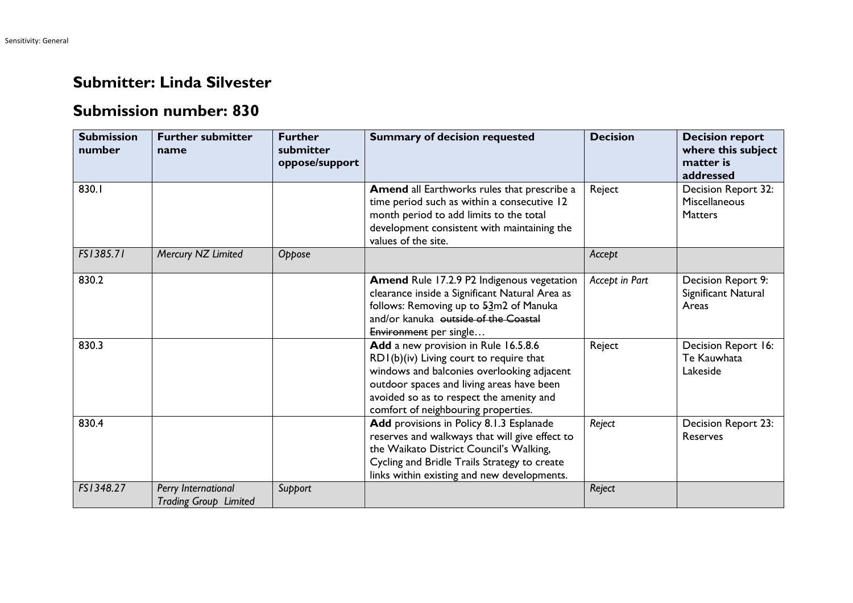## **Submitter: Linda Silvester**

## **Submission number: 830**

| <b>Submission</b><br>number | <b>Further submitter</b><br>name                    | <b>Further</b><br>submitter<br>oppose/support | <b>Summary of decision requested</b>                                                                                                                                                                                                                          | <b>Decision</b> | <b>Decision report</b><br>where this subject<br>matter is<br>addressed |
|-----------------------------|-----------------------------------------------------|-----------------------------------------------|---------------------------------------------------------------------------------------------------------------------------------------------------------------------------------------------------------------------------------------------------------------|-----------------|------------------------------------------------------------------------|
| 830.1                       |                                                     |                                               | Amend all Earthworks rules that prescribe a<br>time period such as within a consecutive 12<br>month period to add limits to the total<br>development consistent with maintaining the<br>values of the site.                                                   | Reject          | Decision Report 32:<br>Miscellaneous<br><b>Matters</b>                 |
| FS1385.71                   | Mercury NZ Limited                                  | Oppose                                        |                                                                                                                                                                                                                                                               | Accept          |                                                                        |
| 830.2                       |                                                     |                                               | Amend Rule 17.2.9 P2 Indigenous vegetation<br>clearance inside a Significant Natural Area as<br>follows: Removing up to 53m2 of Manuka<br>and/or kanuka outside of the Coastal<br>Environment per single                                                      | Accept in Part  | Decision Report 9:<br>Significant Natural<br>Areas                     |
| 830.3                       |                                                     |                                               | Add a new provision in Rule 16.5.8.6<br>RDI(b)(iv) Living court to require that<br>windows and balconies overlooking adjacent<br>outdoor spaces and living areas have been<br>avoided so as to respect the amenity and<br>comfort of neighbouring properties. | Reject          | Decision Report 16:<br>Te Kauwhata<br>Lakeside                         |
| 830.4                       |                                                     |                                               | Add provisions in Policy 8.1.3 Esplanade<br>reserves and walkways that will give effect to<br>the Waikato District Council's Walking,<br>Cycling and Bridle Trails Strategy to create<br>links within existing and new developments.                          | Reject          | Decision Report 23:<br><b>Reserves</b>                                 |
| FS1348.27                   | Perry International<br><b>Trading Group Limited</b> | Support                                       |                                                                                                                                                                                                                                                               | Reject          |                                                                        |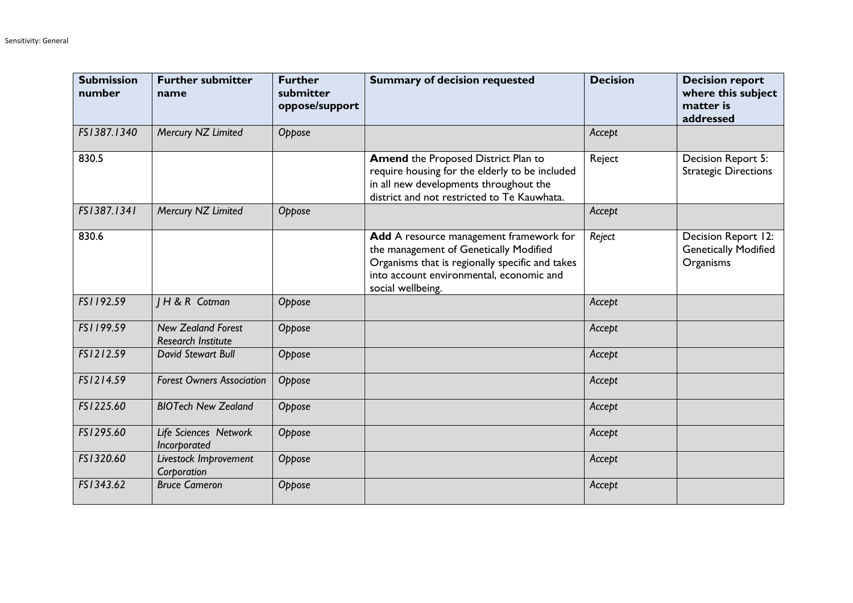| <b>Submission</b><br>number | <b>Further submitter</b><br>name                       | <b>Further</b><br>submitter<br>oppose/support | <b>Summary of decision requested</b>                                                                                                                                                                  | <b>Decision</b> | <b>Decision report</b><br>where this subject<br>matter is<br>addressed |
|-----------------------------|--------------------------------------------------------|-----------------------------------------------|-------------------------------------------------------------------------------------------------------------------------------------------------------------------------------------------------------|-----------------|------------------------------------------------------------------------|
| FS1387.1340                 | Mercury NZ Limited                                     | Oppose                                        |                                                                                                                                                                                                       | Accept          |                                                                        |
| 830.5                       |                                                        |                                               | <b>Amend the Proposed District Plan to</b><br>require housing for the elderly to be included<br>in all new developments throughout the<br>district and not restricted to Te Kauwhata.                 | Reject          | Decision Report 5:<br><b>Strategic Directions</b>                      |
| FS1387.1341                 | Mercury NZ Limited                                     | Oppose                                        |                                                                                                                                                                                                       | Accept          |                                                                        |
| 830.6                       |                                                        |                                               | Add A resource management framework for<br>the management of Genetically Modified<br>Organisms that is regionally specific and takes<br>into account environmental, economic and<br>social wellbeing. | Reject          | Decision Report 12:<br><b>Genetically Modified</b><br>Organisms        |
| FS1192.59                   | <b>IH &amp; R Cotman</b>                               | Oppose                                        |                                                                                                                                                                                                       | Accept          |                                                                        |
| FS1199.59                   | <b>New Zealand Forest</b><br><b>Research Institute</b> | Oppose                                        |                                                                                                                                                                                                       | Accept          |                                                                        |
| FS1212.59                   | David Stewart Bull                                     | Oppose                                        |                                                                                                                                                                                                       | Accept          |                                                                        |
| FS1214.59                   | <b>Forest Owners Association</b>                       | Oppose                                        |                                                                                                                                                                                                       | Accept          |                                                                        |
| FS1225.60                   | <b>BIOTech New Zealand</b>                             | Oppose                                        |                                                                                                                                                                                                       | Accept          |                                                                        |
| FS1295.60                   | Life Sciences Network<br>Incorporated                  | Oppose                                        |                                                                                                                                                                                                       | Accept          |                                                                        |
| FS1320.60                   | Livestock Improvement<br>Corporation                   | Oppose                                        |                                                                                                                                                                                                       | Accept          |                                                                        |
| FS1343.62                   | <b>Bruce Cameron</b>                                   | Oppose                                        |                                                                                                                                                                                                       | Accept          |                                                                        |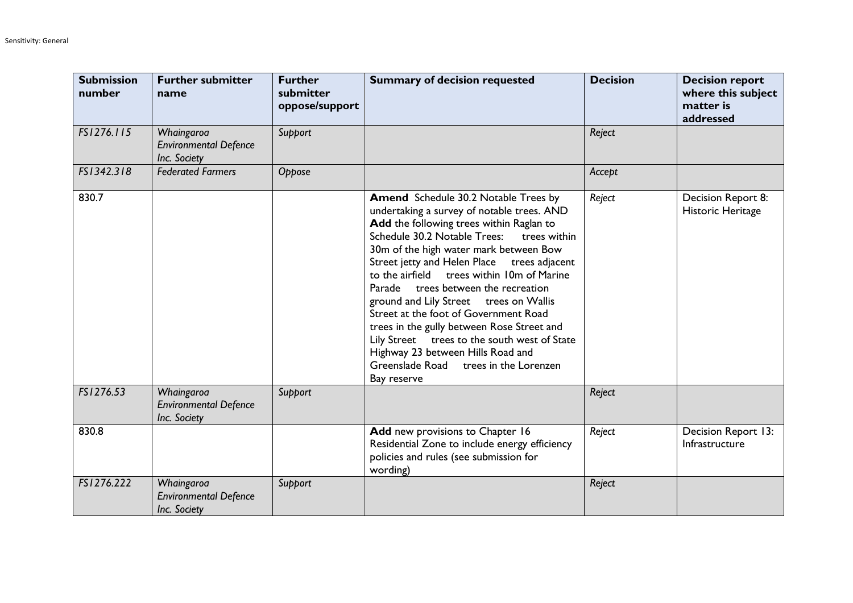| <b>Submission</b><br>number | <b>Further submitter</b><br>name                           | <b>Further</b><br>submitter<br>oppose/support | <b>Summary of decision requested</b>                                                                                                                                                                                                                                                                                                                                                                                                                                                                                                                                                                                                                 | <b>Decision</b> | <b>Decision report</b><br>where this subject<br>matter is<br>addressed |
|-----------------------------|------------------------------------------------------------|-----------------------------------------------|------------------------------------------------------------------------------------------------------------------------------------------------------------------------------------------------------------------------------------------------------------------------------------------------------------------------------------------------------------------------------------------------------------------------------------------------------------------------------------------------------------------------------------------------------------------------------------------------------------------------------------------------------|-----------------|------------------------------------------------------------------------|
| FS1276.115                  | Whaingaroa<br><b>Environmental Defence</b><br>Inc. Society | Support                                       |                                                                                                                                                                                                                                                                                                                                                                                                                                                                                                                                                                                                                                                      | Reject          |                                                                        |
| FS1342.318                  | <b>Federated Farmers</b>                                   | Oppose                                        |                                                                                                                                                                                                                                                                                                                                                                                                                                                                                                                                                                                                                                                      | Accept          |                                                                        |
| 830.7                       |                                                            |                                               | <b>Amend</b> Schedule 30.2 Notable Trees by<br>undertaking a survey of notable trees. AND<br>Add the following trees within Raglan to<br>Schedule 30.2 Notable Trees:<br>trees within<br>30m of the high water mark between Bow<br>Street jetty and Helen Place<br>trees adjacent<br>to the airfield trees within 10m of Marine<br>Parade trees between the recreation<br>ground and Lily Street trees on Wallis<br>Street at the foot of Government Road<br>trees in the gully between Rose Street and<br>Lily Street trees to the south west of State<br>Highway 23 between Hills Road and<br>Greenslade Road trees in the Lorenzen<br>Bay reserve | Reject          | Decision Report 8:<br>Historic Heritage                                |
| FS1276.53                   | Whaingaroa<br><b>Environmental Defence</b><br>Inc. Society | Support                                       |                                                                                                                                                                                                                                                                                                                                                                                                                                                                                                                                                                                                                                                      | Reject          |                                                                        |
| 830.8                       |                                                            |                                               | Add new provisions to Chapter 16<br>Residential Zone to include energy efficiency<br>policies and rules (see submission for<br>wording)                                                                                                                                                                                                                                                                                                                                                                                                                                                                                                              | Reject          | Decision Report 13:<br>Infrastructure                                  |
| FS1276.222                  | Whaingaroa<br><b>Environmental Defence</b><br>Inc. Society | Support                                       |                                                                                                                                                                                                                                                                                                                                                                                                                                                                                                                                                                                                                                                      | Reject          |                                                                        |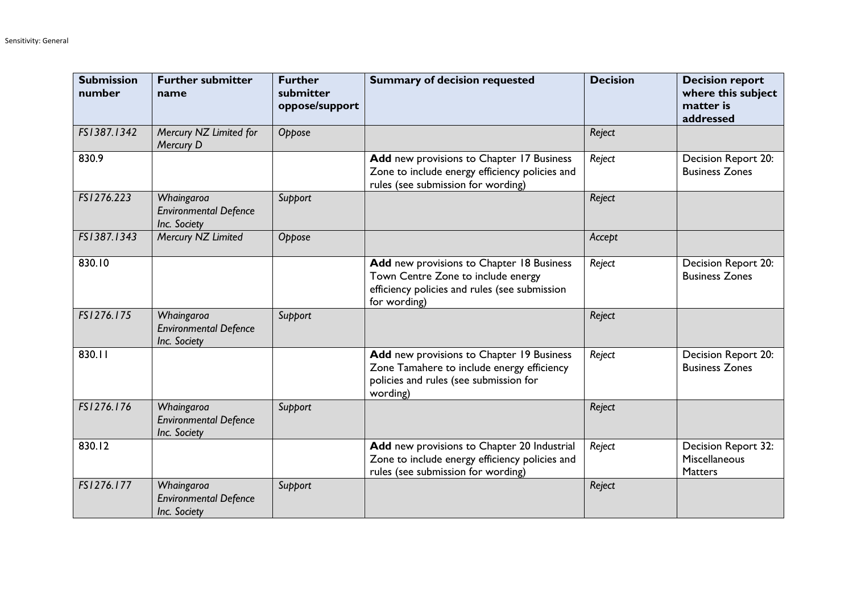| <b>Submission</b><br>number | <b>Further submitter</b><br>name                           | <b>Further</b><br>submitter<br>oppose/support | <b>Summary of decision requested</b>                                                                                                             | <b>Decision</b> | <b>Decision report</b><br>where this subject<br>matter is<br>addressed |
|-----------------------------|------------------------------------------------------------|-----------------------------------------------|--------------------------------------------------------------------------------------------------------------------------------------------------|-----------------|------------------------------------------------------------------------|
| FS1387.1342                 | Mercury NZ Limited for<br>Mercury D                        | Oppose                                        |                                                                                                                                                  | Reject          |                                                                        |
| 830.9                       |                                                            |                                               | Add new provisions to Chapter 17 Business<br>Zone to include energy efficiency policies and<br>rules (see submission for wording)                | Reject          | Decision Report 20:<br><b>Business Zones</b>                           |
| FS1276.223                  | Whaingaroa<br><b>Environmental Defence</b><br>Inc. Society | Support                                       |                                                                                                                                                  | Reject          |                                                                        |
| FS1387.1343                 | Mercury NZ Limited                                         | Oppose                                        |                                                                                                                                                  | Accept          |                                                                        |
| 830.10                      |                                                            |                                               | Add new provisions to Chapter 18 Business<br>Town Centre Zone to include energy<br>efficiency policies and rules (see submission<br>for wording) | Reject          | Decision Report 20:<br><b>Business Zones</b>                           |
| FS1276.175                  | Whaingaroa<br><b>Environmental Defence</b><br>Inc. Society | Support                                       |                                                                                                                                                  | Reject          |                                                                        |
| 830.11                      |                                                            |                                               | Add new provisions to Chapter 19 Business<br>Zone Tamahere to include energy efficiency<br>policies and rules (see submission for<br>wording)    | Reject          | Decision Report 20:<br><b>Business Zones</b>                           |
| FS1276.176                  | Whaingaroa<br><b>Environmental Defence</b><br>Inc. Society | Support                                       |                                                                                                                                                  | Reject          |                                                                        |
| 830.12                      |                                                            |                                               | Add new provisions to Chapter 20 Industrial<br>Zone to include energy efficiency policies and<br>rules (see submission for wording)              | Reject          | Decision Report 32:<br>Miscellaneous<br><b>Matters</b>                 |
| FS1276.177                  | Whaingaroa<br><b>Environmental Defence</b><br>Inc. Society | Support                                       |                                                                                                                                                  | Reject          |                                                                        |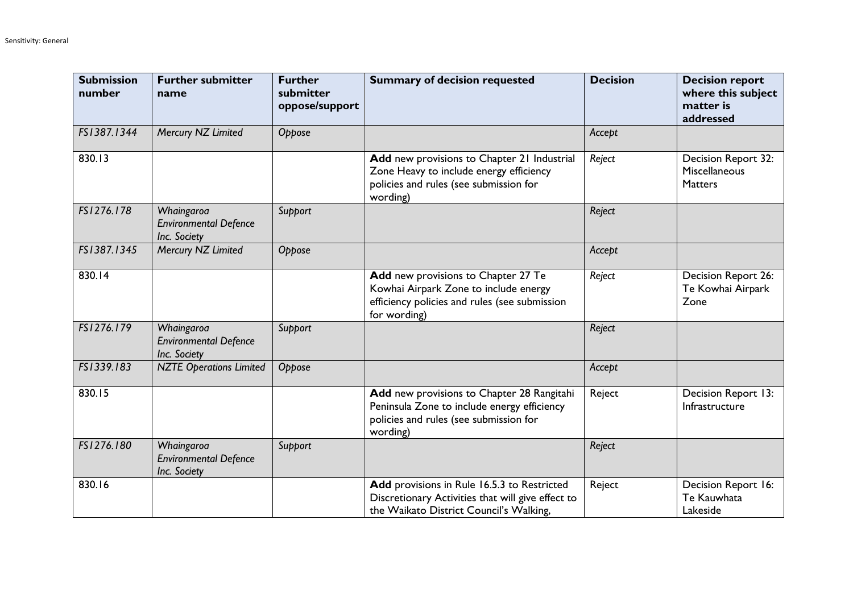| <b>Submission</b><br>number | <b>Further submitter</b><br>name                           | <b>Further</b><br>submitter<br>oppose/support | <b>Summary of decision requested</b>                                                                                                            | <b>Decision</b> | <b>Decision report</b><br>where this subject<br>matter is<br>addressed |
|-----------------------------|------------------------------------------------------------|-----------------------------------------------|-------------------------------------------------------------------------------------------------------------------------------------------------|-----------------|------------------------------------------------------------------------|
| FS1387.1344                 | Mercury NZ Limited                                         | Oppose                                        |                                                                                                                                                 | Accept          |                                                                        |
| 830.13                      |                                                            |                                               | Add new provisions to Chapter 21 Industrial<br>Zone Heavy to include energy efficiency<br>policies and rules (see submission for<br>wording)    | Reject          | Decision Report 32:<br>Miscellaneous<br><b>Matters</b>                 |
| FS1276.178                  | Whaingaroa<br><b>Environmental Defence</b><br>Inc. Society | Support                                       |                                                                                                                                                 | Reject          |                                                                        |
| FS1387.1345                 | Mercury NZ Limited                                         | Oppose                                        |                                                                                                                                                 | Accept          |                                                                        |
| 830.14                      |                                                            |                                               | Add new provisions to Chapter 27 Te<br>Kowhai Airpark Zone to include energy<br>efficiency policies and rules (see submission<br>for wording)   | Reject          | Decision Report 26:<br>Te Kowhai Airpark<br>Zone                       |
| FS1276.179                  | Whaingaroa<br><b>Environmental Defence</b><br>Inc. Society | Support                                       |                                                                                                                                                 | Reject          |                                                                        |
| FS1339.183                  | <b>NZTE Operations Limited</b>                             | Oppose                                        |                                                                                                                                                 | Accept          |                                                                        |
| 830.15                      |                                                            |                                               | Add new provisions to Chapter 28 Rangitahi<br>Peninsula Zone to include energy efficiency<br>policies and rules (see submission for<br>wording) | Reject          | Decision Report 13:<br>Infrastructure                                  |
| FS1276.180                  | Whaingaroa<br><b>Environmental Defence</b><br>Inc. Society | Support                                       |                                                                                                                                                 | Reject          |                                                                        |
| 830.16                      |                                                            |                                               | Add provisions in Rule 16.5.3 to Restricted<br>Discretionary Activities that will give effect to<br>the Waikato District Council's Walking,     | Reject          | Decision Report 16:<br>Te Kauwhata<br>Lakeside                         |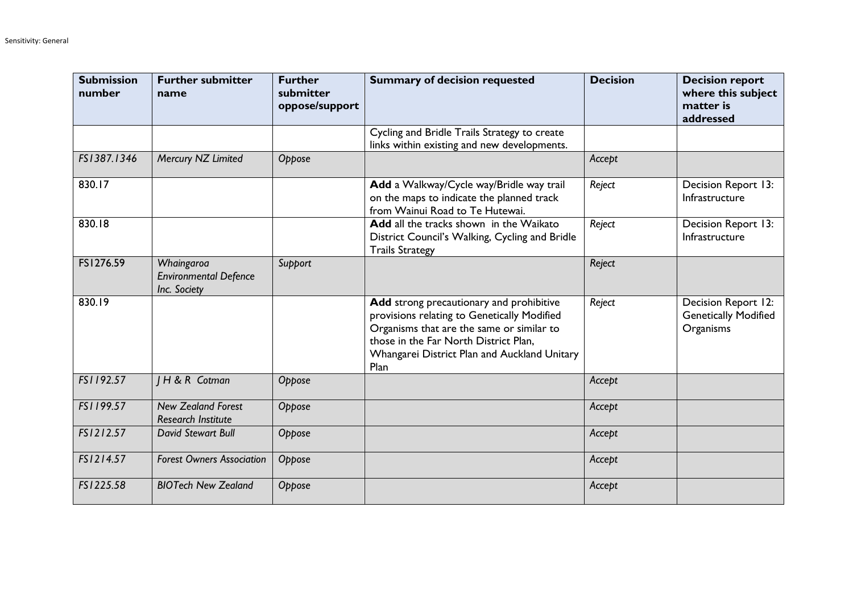| <b>Submission</b><br>number | <b>Further submitter</b><br>name                           | <b>Further</b><br>submitter<br>oppose/support | <b>Summary of decision requested</b>                                                                                                                                                                                                  | <b>Decision</b> | <b>Decision report</b><br>where this subject<br>matter is<br>addressed |
|-----------------------------|------------------------------------------------------------|-----------------------------------------------|---------------------------------------------------------------------------------------------------------------------------------------------------------------------------------------------------------------------------------------|-----------------|------------------------------------------------------------------------|
|                             |                                                            |                                               | Cycling and Bridle Trails Strategy to create<br>links within existing and new developments.                                                                                                                                           |                 |                                                                        |
| FS1387.1346                 | Mercury NZ Limited                                         | Oppose                                        |                                                                                                                                                                                                                                       | Accept          |                                                                        |
| 830.17                      |                                                            |                                               | Add a Walkway/Cycle way/Bridle way trail<br>on the maps to indicate the planned track<br>from Wainui Road to Te Hutewai.                                                                                                              | Reject          | Decision Report 13:<br>Infrastructure                                  |
| 830.18                      |                                                            |                                               | Add all the tracks shown in the Waikato<br>District Council's Walking, Cycling and Bridle<br><b>Trails Strategy</b>                                                                                                                   | Reject          | Decision Report 13:<br>Infrastructure                                  |
| FS1276.59                   | Whaingaroa<br><b>Environmental Defence</b><br>Inc. Society | Support                                       |                                                                                                                                                                                                                                       | Reject          |                                                                        |
| 830.19                      |                                                            |                                               | Add strong precautionary and prohibitive<br>provisions relating to Genetically Modified<br>Organisms that are the same or similar to<br>those in the Far North District Plan,<br>Whangarei District Plan and Auckland Unitary<br>Plan | Reject          | Decision Report 12:<br><b>Genetically Modified</b><br>Organisms        |
| FS1192.57                   | H & R Cotman                                               | Oppose                                        |                                                                                                                                                                                                                                       | Accept          |                                                                        |
| FS1199.57                   | <b>New Zealand Forest</b><br><b>Research Institute</b>     | Oppose                                        |                                                                                                                                                                                                                                       | Accept          |                                                                        |
| FS1212.57                   | David Stewart Bull                                         | Oppose                                        |                                                                                                                                                                                                                                       | Accept          |                                                                        |
| FS1214.57                   | <b>Forest Owners Association</b>                           | Oppose                                        |                                                                                                                                                                                                                                       | Accept          |                                                                        |
| FS1225.58                   | <b>BIOTech New Zealand</b>                                 | Oppose                                        |                                                                                                                                                                                                                                       | Accept          |                                                                        |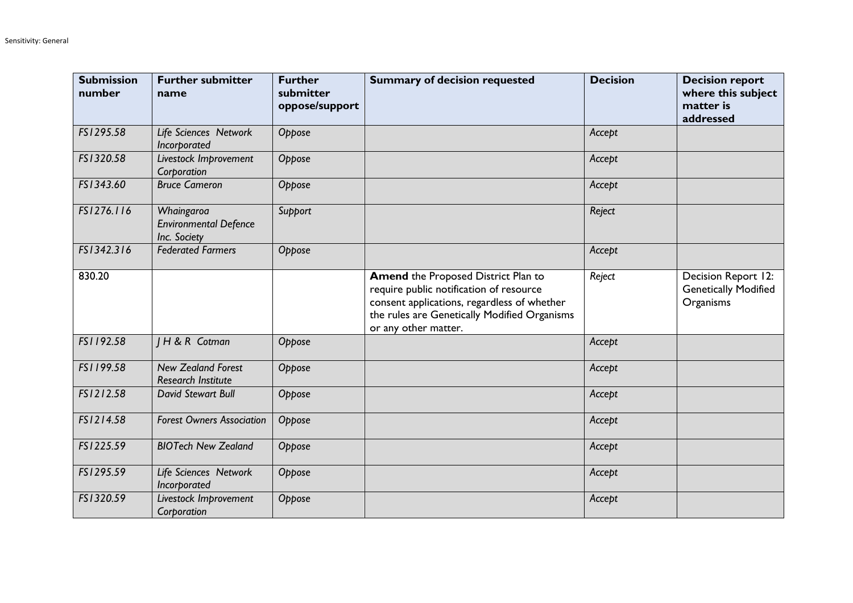| <b>Submission</b><br>number | <b>Further submitter</b><br>name                           | <b>Further</b><br>submitter<br>oppose/support | <b>Summary of decision requested</b>                                                                                                                                                                         | <b>Decision</b> | <b>Decision report</b><br>where this subject<br>matter is<br>addressed |
|-----------------------------|------------------------------------------------------------|-----------------------------------------------|--------------------------------------------------------------------------------------------------------------------------------------------------------------------------------------------------------------|-----------------|------------------------------------------------------------------------|
| FS1295.58                   | Life Sciences Network<br>Incorporated                      | Oppose                                        |                                                                                                                                                                                                              | Accept          |                                                                        |
| FS1320.58                   | Livestock Improvement<br>Corporation                       | Oppose                                        |                                                                                                                                                                                                              | Accept          |                                                                        |
| FS1343.60                   | <b>Bruce Cameron</b>                                       | Oppose                                        |                                                                                                                                                                                                              | Accept          |                                                                        |
| FS1276.116                  | Whaingaroa<br><b>Environmental Defence</b><br>Inc. Society | Support                                       |                                                                                                                                                                                                              | Reject          |                                                                        |
| FS1342.316                  | <b>Federated Farmers</b>                                   | Oppose                                        |                                                                                                                                                                                                              | Accept          |                                                                        |
| 830.20                      |                                                            |                                               | <b>Amend the Proposed District Plan to</b><br>require public notification of resource<br>consent applications, regardless of whether<br>the rules are Genetically Modified Organisms<br>or any other matter. | Reject          | Decision Report 12:<br><b>Genetically Modified</b><br>Organisms        |
| FS1192.58                   | H & R Cotman                                               | Oppose                                        |                                                                                                                                                                                                              | Accept          |                                                                        |
| FS1199.58                   | <b>New Zealand Forest</b><br><b>Research Institute</b>     | Oppose                                        |                                                                                                                                                                                                              | Accept          |                                                                        |
| FS1212.58                   | David Stewart Bull                                         | Oppose                                        |                                                                                                                                                                                                              | Accept          |                                                                        |
| FS1214.58                   | <b>Forest Owners Association</b>                           | Oppose                                        |                                                                                                                                                                                                              | Accept          |                                                                        |
| FS1225.59                   | <b>BIOTech New Zealand</b>                                 | Oppose                                        |                                                                                                                                                                                                              | Accept          |                                                                        |
| FS1295.59                   | Life Sciences Network<br>Incorporated                      | Oppose                                        |                                                                                                                                                                                                              | Accept          |                                                                        |
| FS1320.59                   | Livestock Improvement<br>Corporation                       | Oppose                                        |                                                                                                                                                                                                              | Accept          |                                                                        |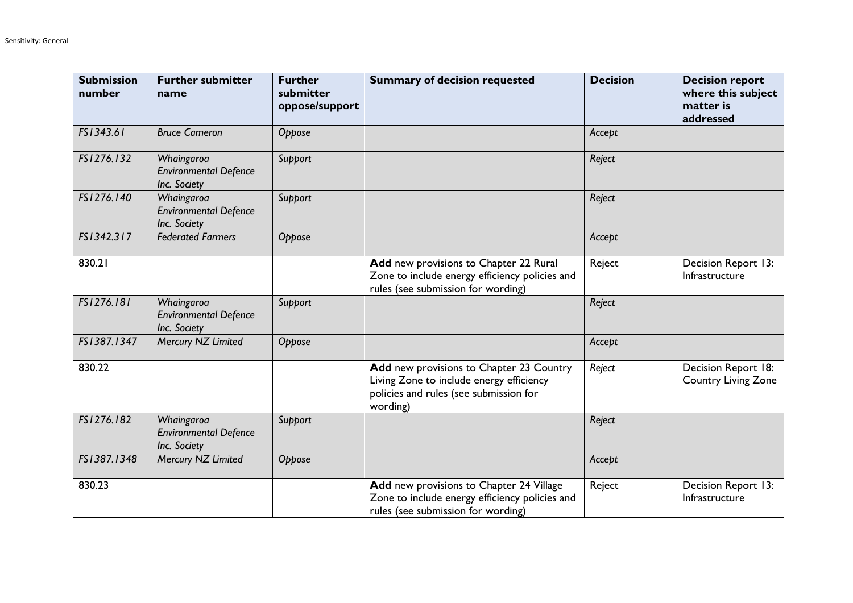| <b>Submission</b><br>number | <b>Further submitter</b><br>name                           | <b>Further</b><br>submitter<br>oppose/support | <b>Summary of decision requested</b>                                                                                                       | <b>Decision</b> | <b>Decision report</b><br>where this subject<br>matter is<br>addressed |
|-----------------------------|------------------------------------------------------------|-----------------------------------------------|--------------------------------------------------------------------------------------------------------------------------------------------|-----------------|------------------------------------------------------------------------|
| FS1343.61                   | <b>Bruce Cameron</b>                                       | Oppose                                        |                                                                                                                                            | Accept          |                                                                        |
| FS1276.132                  | Whaingaroa<br><b>Environmental Defence</b><br>Inc. Society | Support                                       |                                                                                                                                            | Reject          |                                                                        |
| FS1276.140                  | Whaingaroa<br><b>Environmental Defence</b><br>Inc. Society | Support                                       |                                                                                                                                            | Reject          |                                                                        |
| FS1342.317                  | <b>Federated Farmers</b>                                   | Oppose                                        |                                                                                                                                            | Accept          |                                                                        |
| 830.21                      |                                                            |                                               | Add new provisions to Chapter 22 Rural<br>Zone to include energy efficiency policies and<br>rules (see submission for wording)             | Reject          | Decision Report 13:<br>Infrastructure                                  |
| FS1276.181                  | Whaingaroa<br><b>Environmental Defence</b><br>Inc. Society | Support                                       |                                                                                                                                            | Reject          |                                                                        |
| FS1387.1347                 | Mercury NZ Limited                                         | Oppose                                        |                                                                                                                                            | Accept          |                                                                        |
| 830.22                      |                                                            |                                               | Add new provisions to Chapter 23 Country<br>Living Zone to include energy efficiency<br>policies and rules (see submission for<br>wording) | Reject          | Decision Report 18:<br><b>Country Living Zone</b>                      |
| FS1276.182                  | Whaingaroa<br><b>Environmental Defence</b><br>Inc. Society | Support                                       |                                                                                                                                            | Reject          |                                                                        |
| FS1387.1348                 | Mercury NZ Limited                                         | Oppose                                        |                                                                                                                                            | Accept          |                                                                        |
| 830.23                      |                                                            |                                               | Add new provisions to Chapter 24 Village<br>Zone to include energy efficiency policies and<br>rules (see submission for wording)           | Reject          | Decision Report 13:<br>Infrastructure                                  |